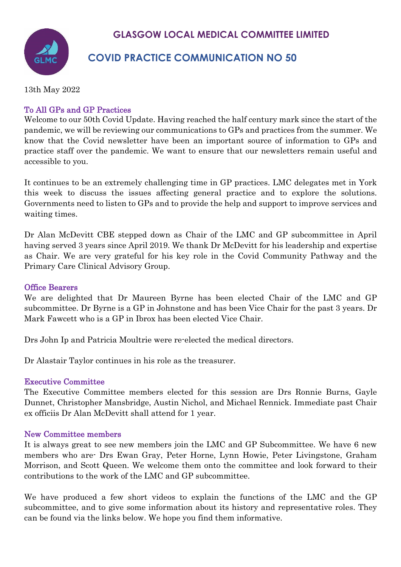# **GLASGOW LOCAL MEDICAL COMMITTEE LIMITED**

# **COVID PRACTICE COMMUNICATION NO 50**

13th May 2022

# To All GPs and GP Practices

Welcome to our 50th Covid Update. Having reached the half century mark since the start of the pandemic, we will be reviewing our communications to GPs and practices from the summer. We know that the Covid newsletter have been an important source of information to GPs and practice staff over the pandemic. We want to ensure that our newsletters remain useful and accessible to you.

It continues to be an extremely challenging time in GP practices. LMC delegates met in York this week to discuss the issues affecting general practice and to explore the solutions. Governments need to listen to GPs and to provide the help and support to improve services and waiting times.

Dr Alan McDevitt CBE stepped down as Chair of the LMC and GP subcommittee in April having served 3 years since April 2019. We thank Dr McDevitt for his leadership and expertise as Chair. We are very grateful for his key role in the Covid Community Pathway and the Primary Care Clinical Advisory Group.

### Office Bearers

We are delighted that Dr Maureen Byrne has been elected Chair of the LMC and GP subcommittee. Dr Byrne is a GP in Johnstone and has been Vice Chair for the past 3 years. Dr Mark Fawcett who is a GP in Ibrox has been elected Vice Chair.

Drs John Ip and Patricia Moultrie were re-elected the medical directors.

Dr Alastair Taylor continues in his role as the treasurer.

#### Executive Committee

The Executive Committee members elected for this session are Drs Ronnie Burns, Gayle Dunnet, Christopher Mansbridge, Austin Nichol, and Michael Rennick. Immediate past Chair ex officiis Dr Alan McDevitt shall attend for 1 year.

#### New Committee members

It is always great to see new members join the LMC and GP Subcommittee. We have 6 new members who are- Drs Ewan Gray, Peter Horne, Lynn Howie, Peter Livingstone, Graham Morrison, and Scott Queen. We welcome them onto the committee and look forward to their contributions to the work of the LMC and GP subcommittee.

We have produced a few short videos to explain the functions of the LMC and the GP subcommittee, and to give some information about its history and representative roles. They can be found via the links below. We hope you find them informative.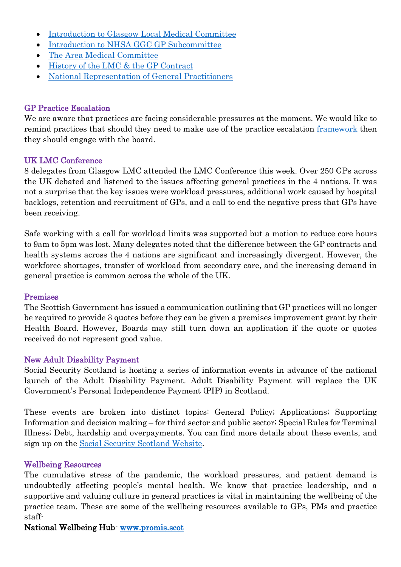- [Introduction to Glasgow Local Medical Committee](https://www.youtube.com/watch?v=4OidQNtV_ac)
- [Introduction to NHSA GGC GP Subcommittee](https://www.youtube.com/watch?v=WdwPY797zvg)
- [The Area Medical Committee](https://www.youtube.com/watch?v=JlSlrHrfNLg)
- [History of the LMC & the GP Contract](https://www.youtube.com/watch?v=FhPogo5slmg)
- [National Representation of General Practitioners](https://www.youtube.com/watch?v=IRko93onQc0)

### GP Practice Escalation

We are aware that practices are facing considerable pressures at the moment. We would like to remind practices that should they need to make use of the practice escalation [framework](https://view.officeapps.live.com/op/view.aspx?src=https%3A%2F%2Fwww.glasgowlmc.co.uk%2Fdownload%2FLinks%2Ftest%2F2022%2F14_jan%2FGeneral-Practice-Escalation-December-2021-002.docx&wdOrigin=BROWSELINK) then they should engage with the board.

#### UK LMC Conference

8 delegates from Glasgow LMC attended the LMC Conference this week. Over 250 GPs across the UK debated and listened to the issues affecting general practices in the 4 nations. It was not a surprise that the key issues were workload pressures, additional work caused by hospital backlogs, retention and recruitment of GPs, and a call to end the negative press that GPs have been receiving.

Safe working with a call for workload limits was supported but a motion to reduce core hours to 9am to 5pm was lost. Many delegates noted that the difference between the GP contracts and health systems across the 4 nations are significant and increasingly divergent. However, the workforce shortages, transfer of workload from secondary care, and the increasing demand in general practice is common across the whole of the UK.

#### Premises

The Scottish Government has issued a communication outlining that GP practices will no longer be required to provide 3 quotes before they can be given a premises improvement grant by their Health Board. However, Boards may still turn down an application if the quote or quotes received do not represent good value.

#### New Adult Disability Payment

Social Security Scotland is hosting a series of information events in advance of the national launch of the Adult Disability Payment. Adult Disability Payment will replace the UK Government's Personal Independence Payment (PIP) in Scotland.

These events are broken into distinct topics: General Policy; Applications; Supporting Information and decision making – for third sector and public sector; Special Rules for Terminal Illness; Debt, hardship and overpayments. You can find more details about these events, and sign up on the [Social Security Scotland Website.](https://www.socialsecurity.gov.scot/news-events/events/adult-disability-payment-debt-1)

#### Wellbeing Resources

The cumulative stress of the pandemic, the workload pressures, and patient demand is undoubtedly affecting people's mental health. We know that practice leadership, and a supportive and valuing culture in general practices is vital in maintaining the wellbeing of the practice team. These are some of the wellbeing resources available to GPs, PMs and practice staff-

## National Wellbeing Hub- [www.promis.scot](http://www.promis.scot/)